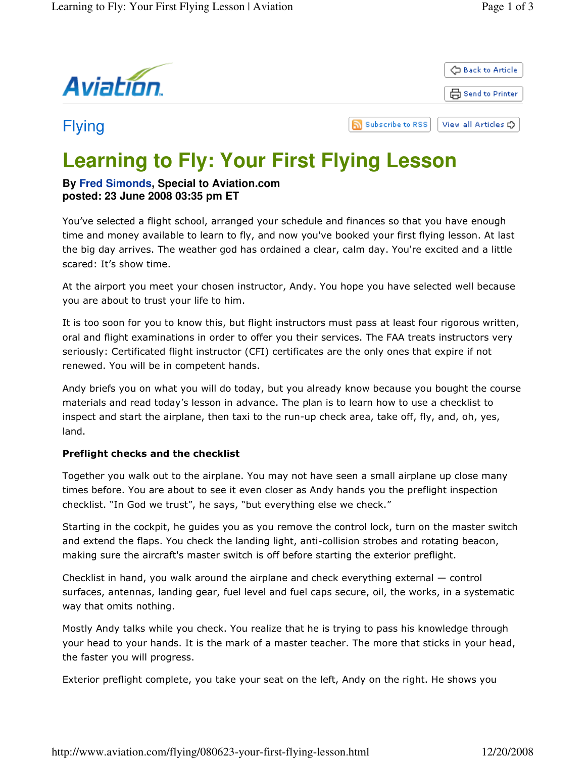



## Flying

ה **Subscribe to RSS** View all Articles C

# **Learning to Fly: Your First Flying Lesson**

### **By Fred Simonds, Special to Aviation.com posted: 23 June 2008 03:35 pm ET**

You've selected a flight school, arranged your schedule and finances so that you have enough time and money available to learn to fly, and now you've booked your first flying lesson. At last the big day arrives. The weather god has ordained a clear, calm day. You're excited and a little scared: It's show time.

At the airport you meet your chosen instructor, Andy. You hope you have selected well because you are about to trust your life to him.

It is too soon for you to know this, but flight instructors must pass at least four rigorous written, oral and flight examinations in order to offer you their services. The FAA treats instructors very seriously: Certificated flight instructor (CFI) certificates are the only ones that expire if not renewed. You will be in competent hands.

Andy briefs you on what you will do today, but you already know because you bought the course materials and read today's lesson in advance. The plan is to learn how to use a checklist to inspect and start the airplane, then taxi to the run-up check area, take off, fly, and, oh, yes, land.

#### Preflight checks and the checklist

Together you walk out to the airplane. You may not have seen a small airplane up close many times before. You are about to see it even closer as Andy hands you the preflight inspection checklist. "In God we trust", he says, "but everything else we check."

Starting in the cockpit, he guides you as you remove the control lock, turn on the master switch and extend the flaps. You check the landing light, anti-collision strobes and rotating beacon, making sure the aircraft's master switch is off before starting the exterior preflight.

Checklist in hand, you walk around the airplane and check everything external — control surfaces, antennas, landing gear, fuel level and fuel caps secure, oil, the works, in a systematic way that omits nothing.

Mostly Andy talks while you check. You realize that he is trying to pass his knowledge through your head to your hands. It is the mark of a master teacher. The more that sticks in your head, the faster you will progress.

Exterior preflight complete, you take your seat on the left, Andy on the right. He shows you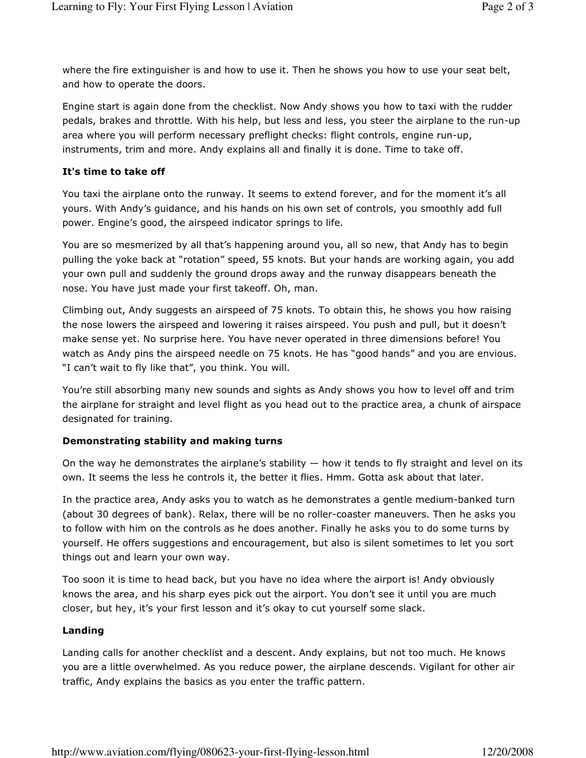where the fire extinguisher is and how to use it. Then he shows you how to use your seat belt, and how to operate the doors.

Engine start is again done from the checklist. Now Andy shows you how to taxi with the rudder pedals, brakes and throttle. With his help, but less and less, you steer the airplane to the run-up area where you will perform necessary preflight checks: flight controls, engine run-up, instruments, trim and more. Andy explains all and finally it is done. Time to take off.

#### It's time to take off

You taxi the airplane onto the runway. It seems to extend forever, and for the moment it's all yours. With Andy's guidance, and his hands on his own set of controls, you smoothly add full power. Engine's good, the airspeed indicator springs to life.

You are so mesmerized by all that's happening around you, all so new, that Andy has to begin pulling the yoke back at "rotation" speed, 55 knots. But your hands are working again, you add your own pull and suddenly the ground drops away and the runway disappears beneath the nose. You have just made your first takeoff. Oh, man.

Climbing out, Andy suggests an airspeed of 75 knots. To obtain this, he shows you how raising the nose lowers the airspeed and lowering it raises airspeed. You push and pull, but it doesn't make sense yet. No surprise here. You have never operated in three dimensions before! You watch as Andy pins the airspeed needle on 75 knots. He has "good hands" and you are envious. "I can't wait to fly like that", you think. You will.

You're still absorbing many new sounds and sights as Andy shows you how to level off and trim the airplane for straight and level flight as you head out to the practice area, a chunk of airspace designated for training.

#### Demonstrating stability and making turns

On the way he demonstrates the airplane's stability  $-$  how it tends to fly straight and level on its own. It seems the less he controls it, the better it flies. Hmm. Gotta ask about that later.

In the practice area, Andy asks you to watch as he demonstrates a gentle medium-banked turn (about 30 degrees of bank). Relax, there will be no roller-coaster maneuvers. Then he asks you to follow with him on the controls as he does another. Finally he asks you to do some turns by yourself. He offers suggestions and encouragement, but also is silent sometimes to let you sort things out and learn your own way.

Too soon it is time to head back, but you have no idea where the airport is! Andy obviously knows the area, and his sharp eyes pick out the airport. You don't see it until you are much closer, but hey, it's your first lesson and it's okay to cut yourself some slack.

#### Landing

Landing calls for another checklist and a descent. Andy explains, but not too much. He knows you are a little overwhelmed. As you reduce power, the airplane descends. Vigilant for other air traffic, Andy explains the basics as you enter the traffic pattern.